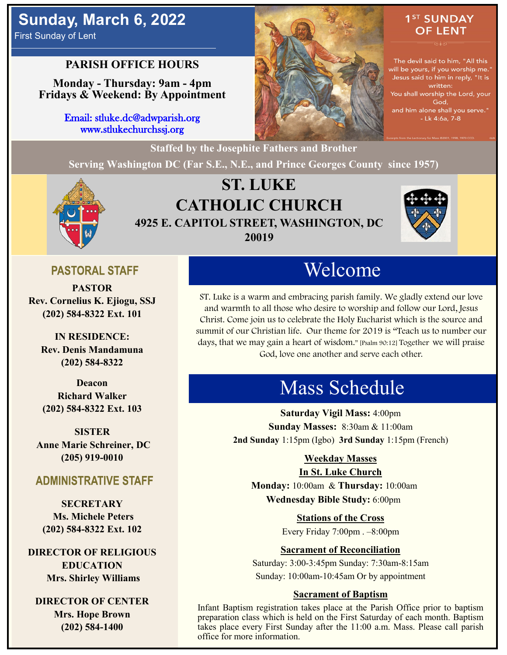# **Sunday, March 6, 2022**

First Sunday of Lent

## **PARISH OFFICE HOURS**

**Monday - Thursday: 9am - 4pm Fridays & Weekend: By Appointment**

> Email: stluke.dc@adwparish.org www.stlukechurchssj.org



## 1<sup>ST</sup> SUNDAY **OF LENT**

The devil said to him, "All this will be yours, if you worship me." Jesus said to him in reply, "It is written: You shall worship the Lord, your God, and him alone shall you serve." - Lk 4:6a, 7-8

## **ST. LUKE CATHOLIC CHURCH 4925 E. CAPITOL STREET, WASHINGTON, DC 20019**

**Serving Washington DC (Far S.E., N.E., and Prince Georges County since 1957)**



## **PASTORAL STAFF**

**PASTOR Rev. Cornelius K. Ejiogu, SSJ (202) 584-8322 Ext. 101**

**IN RESIDENCE: Rev. Denis Mandamuna (202) 584-8322** 

**Deacon Richard Walker (202) 584-8322 Ext. 103**

**SISTER Anne Marie Schreiner, DC (205) 919-0010**

#### **ADMINISTRATIVE STAFF**

**SECRETARY Ms. Michele Peters (202) 584-8322 Ext. 102**

**DIRECTOR OF RELIGIOUS EDUCATION Mrs. Shirley Williams**

**DIRECTOR OF CENTER Mrs. Hope Brown (202) 584-1400**

# Welcome

ST. Luke is a warm and embracing parish family. We gladly extend our love and warmth to all those who desire to worship and follow our Lord, Jesus Christ. Come join us to celebrate the Holy Eucharist which is the source and summit of our Christian life. Our theme for 2019 is "Teach us to number our days, that we may gain a heart of wisdom." [Psalm 90:12] Together we will praise God, love one another and serve each other.

# Mass Schedule

**Saturday Vigil Mass:** 4:00pm **Sunday Masses:** 8:30am & 11:00am **2nd Sunday** 1:15pm (Igbo) **3rd Sunday** 1:15pm (French)

#### **Weekday Masses**

#### **In St. Luke Church**

**Monday:** 10:00am & **Thursday:** 10:00am **Wednesday Bible Study:** 6:00pm

**Stations of the Cross**

Every Friday 7:00pm . –8:00pm

#### **Sacrament of Reconciliation**

Saturday: 3:00-3:45pm Sunday: 7:30am-8:15am Sunday: 10:00am-10:45am Or by appointment

#### **Sacrament of Baptism**

Infant Baptism registration takes place at the Parish Office prior to baptism preparation class which is held on the First Saturday of each month. Baptism takes place every First Sunday after the 11:00 a.m. Mass. Please call parish office for more information.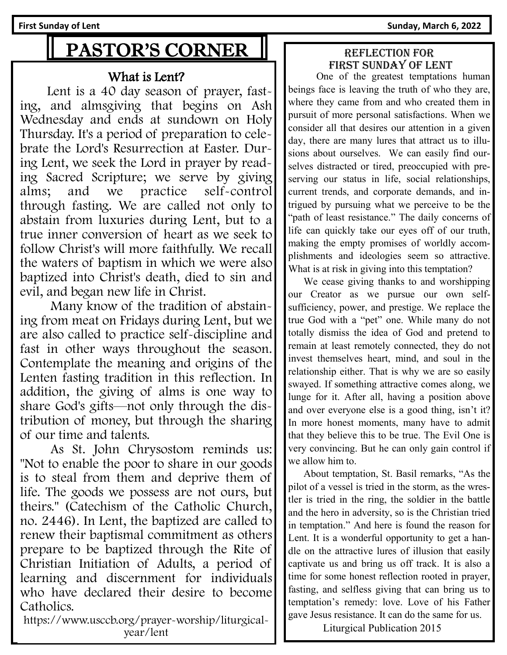First Sunday of Lent **Sunday**, March 6, 2022

# PASTOR'S CORNER

## What is Lent?

 Lent is a 40 day season of prayer, fasting, and almsgiving that begins on Ash Wednesday and ends at sundown on Holy Thursday. It's a period of preparation to celebrate the Lord's Resurrection at Easter. During Lent, we seek the Lord in prayer by reading Sacred Scripture; we serve by giving alms; and we practice self-control through fasting. We are called not only to abstain from luxuries during Lent, but to a true inner conversion of heart as we seek to follow Christ's will more faithfully. We recall the waters of baptism in which we were also baptized into Christ's death, died to sin and evil, and began new life in Christ.

 Many know of the tradition of abstaining from meat on Fridays during Lent, but we are also called to practice self-discipline and fast in other ways throughout the season. Contemplate the meaning and origins of the Lenten fasting tradition in this reflection. In addition, the giving of alms is one way to share God's gifts—not only through the distribution of money, but through the sharing of our time and talents.

 As St. John Chrysostom reminds us: "Not to enable the poor to share in our goods is to steal from them and deprive them of life. The goods we possess are not ours, but theirs." (Catechism of the Catholic Church, no. 2446). In Lent, the baptized are called to renew their baptismal commitment as others prepare to be baptized through the Rite of Christian Initiation of Adults, a period of learning and discernment for individuals who have declared their desire to become Catholics.

https://www.usccb.org/prayer-worship/liturgicalyear/lent

#### Reflection for First Sunday of lent

 One of the greatest temptations human beings face is leaving the truth of who they are, where they came from and who created them in pursuit of more personal satisfactions. When we consider all that desires our attention in a given day, there are many lures that attract us to illusions about ourselves. We can easily find ourselves distracted or tired, preoccupied with preserving our status in life, social relationships, current trends, and corporate demands, and intrigued by pursuing what we perceive to be the "path of least resistance." The daily concerns of life can quickly take our eyes off of our truth, making the empty promises of worldly accomplishments and ideologies seem so attractive. What is at risk in giving into this temptation?

 We cease giving thanks to and worshipping our Creator as we pursue our own selfsufficiency, power, and prestige. We replace the true God with a "pet" one. While many do not totally dismiss the idea of God and pretend to remain at least remotely connected, they do not invest themselves heart, mind, and soul in the relationship either. That is why we are so easily swayed. If something attractive comes along, we lunge for it. After all, having a position above and over everyone else is a good thing, isn't it? In more honest moments, many have to admit that they believe this to be true. The Evil One is very convincing. But he can only gain control if we allow him to.

 About temptation, St. Basil remarks, "As the pilot of a vessel is tried in the storm, as the wrestler is tried in the ring, the soldier in the battle and the hero in adversity, so is the Christian tried in temptation." And here is found the reason for Lent. It is a wonderful opportunity to get a handle on the attractive lures of illusion that easily captivate us and bring us off track. It is also a time for some honest reflection rooted in prayer, fasting, and selfless giving that can bring us to temptation's remedy: love. Love of his Father gave Jesus resistance. It can do the same for us.

Liturgical Publication 2015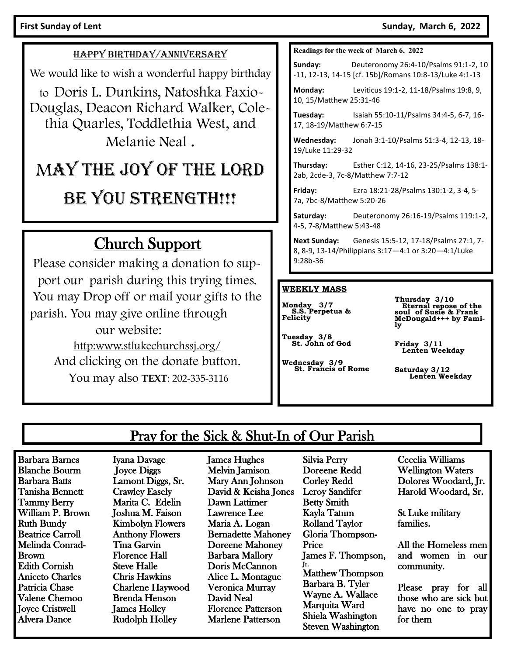#### First Sunday of Lent **Sunday, March 6, 2022**

#### HAPPY BIRTHDAY/ANNIVERSARY

We would like to wish a wonderful happy birthday

to Doris L. Dunkins, Natoshka Faxio-Douglas, Deacon Richard Walker, Colethia Quarles, Toddlethia West, and Melanie Neal .

# MAY THE JOY OF THE LORD

## BE YOU STRENGTH!!!

## Church Support

Please consider making a donation to support our parish during this trying times. You may Drop off or mail your gifts to the parish. You may give online through our website: http:www.stlukechurchssj.org/ And clicking on the donate button.

You may also **TEXT**: 202-335-3116

#### **Readings for the week of March 6, 2022**

**Sunday:** Deuteronomy 26:4-10/Psalms 91:1-2, 10 -11, 12-13, 14-15 [cf. 15b]/Romans 10:8-13/Luke 4:1-13

**Monday:** Leviticus 19:1-2, 11-18/Psalms 19:8, 9, 10, 15/Matthew 25:31-46

**Tuesday:** Isaiah 55:10-11/Psalms 34:4-5, 6-7, 16- 17, 18-19/Matthew 6:7-15

**Wednesday:** Jonah 3:1-10/Psalms 51:3-4, 12-13, 18- 19/Luke 11:29-32

**Thursday:** Esther C:12, 14-16, 23-25/Psalms 138:1- 2ab, 2cde-3, 7c-8/Matthew 7:7-12

**Friday:** Ezra 18:21-28/Psalms 130:1-2, 3-4, 5- 7a, 7bc-8/Matthew 5:20-26

**Saturday:** Deuteronomy 26:16-19/Psalms 119:1-2, 4-5, 7-8/Matthew 5:43-48

**Next Sunday:** Genesis 15:5-12, 17-18/Psalms 27:1, 7- 8, 8-9, 13-14/Philippians 3:17—4:1 or 3:20—4:1/Luke 9:28b-36

#### **WEEKLY MASS**

**Monday 3/7 S.S. Perpetua & Felicity**

**Thursday 3/10 Eternal repose of the soul of Susie & Frank** 

**Tuesday 3/8 St. John of God**

**Wednesday 3/9 St. Francis of Rome**

**McDougald+++ by Fami-ly**

**Friday 3/11 Lenten Weekday**

**Saturday 3/12 Lenten Weekday** 

## Pray for the Sick & Shut-In of Our Parish

Barbara Barnes Blanche Bourm Barbara Batts Tanisha Bennett Tammy Berry William P. Brown Ruth Bundy Beatrice Carroll Melinda Conrad-Brown Edith Cornish Aniceto Charles Patricia Chase Valene Chemoo Joyce Cristwell Alvera Dance

Iyana Davage Joyce Diggs Lamont Diggs, Sr. Crawley Easely Marita C. Edelin Joshua M. Faison Kimbolyn Flowers Anthony Flowers Tina Garvin Florence Hall Steve Halle Chris Hawkins Charlene Haywood Brenda Henson James Holley Rudolph Holley

James Hughes Melvin Jamison Mary Ann Johnson David & Keisha Jones Dawn Lattimer Lawrence Lee Maria A. Logan Bernadette Mahoney Doreene Mahoney Barbara Mallory Doris McCannon Alice L. Montague Veronica Murray David Neal Florence Patterson Marlene Patterson

Silvia Perry Doreene Redd Corley Redd Leroy Sandifer Betty Smith Kayla Tatum Rolland Taylor Gloria Thompson-Price James F. Thompson, Jr. Matthew Thompson Barbara B. Tyler Wayne A. Wallace Marquita Ward Shiela Washington Steven Washington

Cecelia Williams Wellington Waters Dolores Woodard, Jr. Harold Woodard, Sr.

St Luke military families.

All the Homeless men and women in our community.

Please pray for all those who are sick but have no one to pray for them